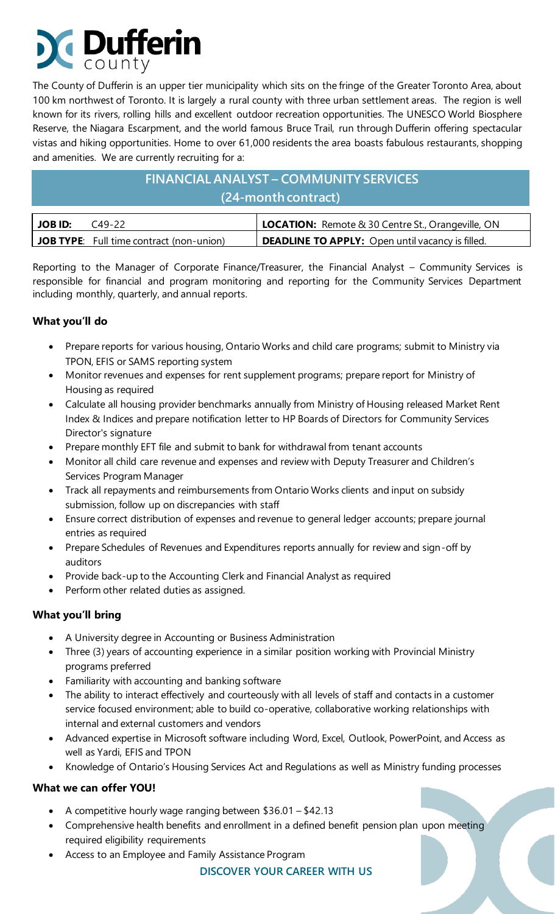# **Dufferin**

The County of Dufferin is an upper tier municipality which sits on the fringe of the Greater Toronto Area, about 100 km northwest of Toronto. It is largely a rural county with three urban settlement areas. The region is well known for its rivers, rolling hills and excellent outdoor recreation opportunities. The UNESCO World Biosphere Reserve, the Niagara Escarpment, and the world famous Bruce Trail, run through Dufferin offering spectacular vistas and hiking opportunities. Home to over 61,000 residents the area boasts fabulous restaurants, shopping and amenities. We are currently recruiting for a:

### **FINANCIAL ANALYST – COMMUNITY SERVICES (24-month contract)**

| JOB ID: | $C_{49-22}$                                     | LOCATION: Remote & 30 Centre St., Orangeville, ON         |
|---------|-------------------------------------------------|-----------------------------------------------------------|
|         | <b>JOB TYPE:</b> Full time contract (non-union) | <b>I DEADLINE TO APPLY:</b> Open until vacancy is filled. |

Reporting to the Manager of Corporate Finance/Treasurer, the Financial Analyst – Community Services is responsible for financial and program monitoring and reporting for the Community Services Department including monthly, quarterly, and annual reports.

#### **What you'll do**

- Prepare reports for various housing, Ontario Works and child care programs; submit to Ministry via TPON, EFIS or SAMS reporting system
- Monitor revenues and expenses for rent supplement programs; prepare report for Ministry of Housing as required
- Calculate all housing provider benchmarks annually from Ministry of Housing released Market Rent Index & Indices and prepare notification letter to HP Boards of Directors for Community Services Director's signature
- Prepare monthly EFT file and submit to bank for withdrawal from tenant accounts
- Monitor all child care revenue and expenses and review with Deputy Treasurer and Children's Services Program Manager
- Track all repayments and reimbursements from Ontario Works clients and input on subsidy submission, follow up on discrepancies with staff
- Ensure correct distribution of expenses and revenue to general ledger accounts; prepare journal entries as required
- Prepare Schedules of Revenues and Expenditures reports annually for review and sign-off by auditors
- Provide back-up to the Accounting Clerk and Financial Analyst as required
- Perform other related duties as assigned.

#### **What you'll bring**

- A University degree in Accounting or Business Administration
- Three (3) years of accounting experience in a similar position working with Provincial Ministry programs preferred
- Familiarity with accounting and banking software
- The ability to interact effectively and courteously with all levels of staff and contacts in a customer service focused environment; able to build co-operative, collaborative working relationships with internal and external customers and vendors
- Advanced expertise in Microsoft software including Word, Excel, Outlook, PowerPoint, and Access as well as Yardi, EFIS and TPON
- Knowledge of Ontario's Housing Services Act and Regulations as well as Ministry funding processes

#### **What we can offer YOU!**

- A competitive hourly wage ranging between \$36.01 \$42.13
- Comprehensive health benefits and enrollment in a defined benefit pension plan upon meeting required eligibility requirements
- Access to an Employee and Family Assistance Program

#### **DISCOVER YOUR CAREER WITH US**